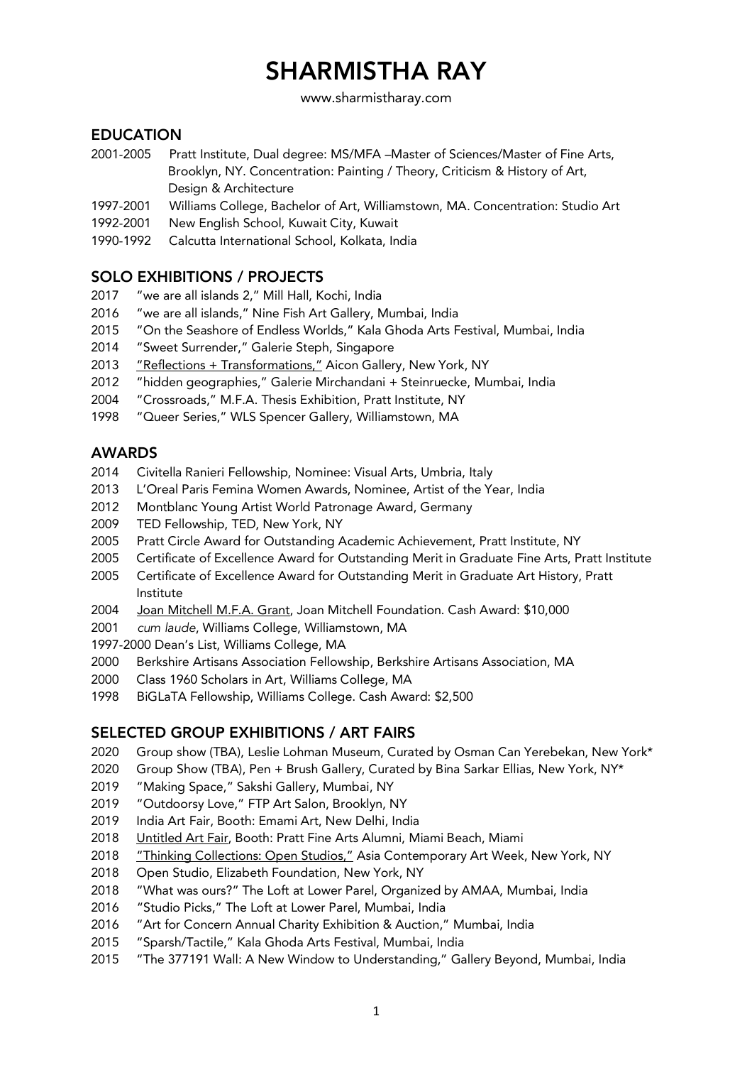www.sharmistharay.com

## EDUCATION

- 2001-2005 Pratt Institute, Dual degree: MS/MFA –Master of Sciences/Master of Fine Arts, Brooklyn, NY. Concentration: Painting / Theory, Criticism & History of Art, Design & Architecture
- 1997-2001 Williams College, Bachelor of Art, Williamstown, MA. Concentration: Studio Art
- 1992-2001 New English School, Kuwait City, Kuwait
- 1990-1992 Calcutta International School, Kolkata, India

## SOLO EXHIBITIONS / PROJECTS

- 2017 "we are all islands 2," Mill Hall, Kochi, India
- 2016 "we are all islands," Nine Fish Art Gallery, Mumbai, India
- 2015 "On the Seashore of Endless Worlds," Kala Ghoda Arts Festival, Mumbai, India
- 2014 "Sweet Surrender," Galerie Steph, Singapore
- 2013 "Reflections + Transformations," Aicon Gallery, New York, NY
- 2012 "hidden geographies," Galerie Mirchandani + Steinruecke, Mumbai, India
- 2004 "Crossroads," M.F.A. Thesis Exhibition, Pratt Institute, NY
- 1998 "Queer Series," WLS Spencer Gallery, Williamstown, MA

## AWARDS

- 2014 Civitella Ranieri Fellowship, Nominee: Visual Arts, Umbria, Italy
- 2013 L'Oreal Paris Femina Women Awards, Nominee, Artist of the Year, India
- 2012 Montblanc Young Artist World Patronage Award, Germany
- 2009 TED Fellowship, TED, New York, NY
- 2005 Pratt Circle Award for Outstanding Academic Achievement, Pratt Institute, NY
- 2005 Certificate of Excellence Award for Outstanding Merit in Graduate Fine Arts, Pratt Institute
- 2005 Certificate of Excellence Award for Outstanding Merit in Graduate Art History, Pratt Institute
- 2004 Joan Mitchell M.F.A. Grant, Joan Mitchell Foundation. Cash Award: \$10,000
- 2001 *cum laude*, Williams College, Williamstown, MA
- 1997-2000 Dean's List, Williams College, MA
- 2000 Berkshire Artisans Association Fellowship, Berkshire Artisans Association, MA
- 2000 Class 1960 Scholars in Art, Williams College, MA
- 1998 BiGLaTA Fellowship, Williams College. Cash Award: \$2,500

### SELECTED GROUP EXHIBITIONS / ART FAIRS

- 2020 Group show (TBA), Leslie Lohman Museum, Curated by Osman Can Yerebekan, New York\*
- 2020 Group Show (TBA), Pen + Brush Gallery, Curated by Bina Sarkar Ellias, New York, NY\*
- 2019 "Making Space," Sakshi Gallery, Mumbai, NY
- 2019 "Outdoorsy Love," FTP Art Salon, Brooklyn, NY
- 2019 India Art Fair, Booth: Emami Art, New Delhi, India
- 2018 Untitled Art Fair, Booth: Pratt Fine Arts Alumni, Miami Beach, Miami
- 2018 "Thinking Collections: Open Studios," Asia Contemporary Art Week, New York, NY
- 2018 Open Studio, Elizabeth Foundation, New York, NY
- 2018 "What was ours?" The Loft at Lower Parel, Organized by AMAA, Mumbai, India
- 2016 "Studio Picks," The Loft at Lower Parel, Mumbai, India
- 2016 "Art for Concern Annual Charity Exhibition & Auction," Mumbai, India
- 2015 "Sparsh/Tactile," Kala Ghoda Arts Festival, Mumbai, India
- 2015 "The 377191 Wall: A New Window to Understanding," Gallery Beyond, Mumbai, India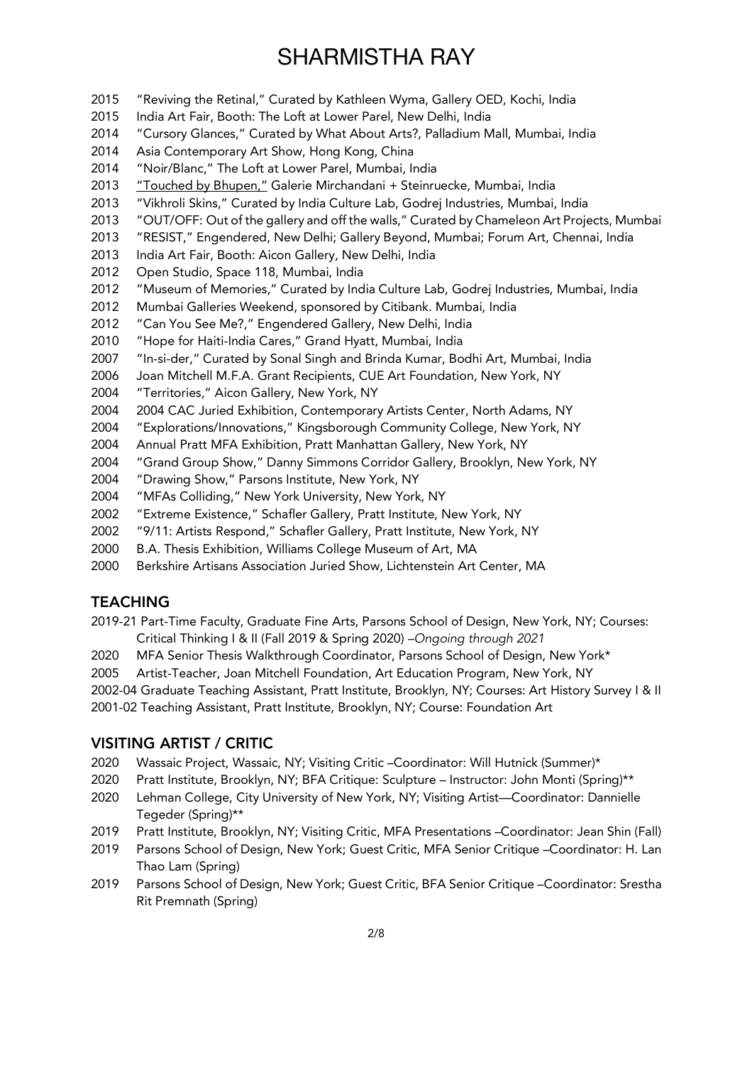- "Reviving the Retinal," Curated by Kathleen Wyma, Gallery OED, Kochi, India
- India Art Fair, Booth: The Loft at Lower Parel, New Delhi, India
- "Cursory Glances," Curated by What About Arts?, Palladium Mall, Mumbai, India
- Asia Contemporary Art Show, Hong Kong, China
- "Noir/Blanc," The Loft at Lower Parel, Mumbai, India
- 2013 "Touched by Bhupen," Galerie Mirchandani + Steinruecke, Mumbai, India
- "Vikhroli Skins," Curated by India Culture Lab, Godrej Industries, Mumbai, India
- "OUT/OFF: Out of the gallery and off the walls," Curated by Chameleon Art Projects, Mumbai
- "RESIST," Engendered, New Delhi; Gallery Beyond, Mumbai; Forum Art, Chennai, India
- India Art Fair, Booth: Aicon Gallery, New Delhi, India
- Open Studio, Space 118, Mumbai, India
- "Museum of Memories," Curated by India Culture Lab, Godrej Industries, Mumbai, India
- Mumbai Galleries Weekend, sponsored by Citibank. Mumbai, India
- "Can You See Me?," Engendered Gallery, New Delhi, India
- "Hope for Haiti-India Cares," Grand Hyatt, Mumbai, India
- "In-si-der," Curated by Sonal Singh and Brinda Kumar, Bodhi Art, Mumbai, India
- Joan Mitchell M.F.A. Grant Recipients, CUE Art Foundation, New York, NY
- "Territories," Aicon Gallery, New York, NY
- 2004 2004 CAC Juried Exhibition, Contemporary Artists Center, North Adams, NY
- "Explorations/Innovations," Kingsborough Community College, New York, NY
- 2004 Annual Pratt MFA Exhibition, Pratt Manhattan Gallery, New York, NY
- "Grand Group Show," Danny Simmons Corridor Gallery, Brooklyn, New York, NY
- "Drawing Show," Parsons Institute, New York, NY
- "MFAs Colliding," New York University, New York, NY
- "Extreme Existence," Schafler Gallery, Pratt Institute, New York, NY
- "9/11: Artists Respond," Schafler Gallery, Pratt Institute, New York, NY
- B.A. Thesis Exhibition, Williams College Museum of Art, MA
- Berkshire Artisans Association Juried Show, Lichtenstein Art Center, MA

### **TEACHING**

- 2019-21 Part-Time Faculty, Graduate Fine Arts, Parsons School of Design, New York, NY; Courses: Critical Thinking I & II (Fall 2019 & Spring 2020) *–Ongoing through 2021*
- MFA Senior Thesis Walkthrough Coordinator, Parsons School of Design, New York\*

Artist-Teacher, Joan Mitchell Foundation, Art Education Program, New York, NY

2002-04 Graduate Teaching Assistant, Pratt Institute, Brooklyn, NY; Courses: Art History Survey I & II 2001-02 Teaching Assistant, Pratt Institute, Brooklyn, NY; Course: Foundation Art

### VISITING ARTIST / CRITIC

- Wassaic Project, Wassaic, NY; Visiting Critic –Coordinator: Will Hutnick (Summer)\*
- Pratt Institute, Brooklyn, NY; BFA Critique: Sculpture Instructor: John Monti (Spring)\*\*
- Lehman College, City University of New York, NY; Visiting Artist—Coordinator: Dannielle Tegeder (Spring)\*\*
- Pratt Institute, Brooklyn, NY; Visiting Critic, MFA Presentations –Coordinator: Jean Shin (Fall)
- Parsons School of Design, New York; Guest Critic, MFA Senior Critique –Coordinator: H. Lan Thao Lam (Spring)
- Parsons School of Design, New York; Guest Critic, BFA Senior Critique –Coordinator: Srestha Rit Premnath (Spring)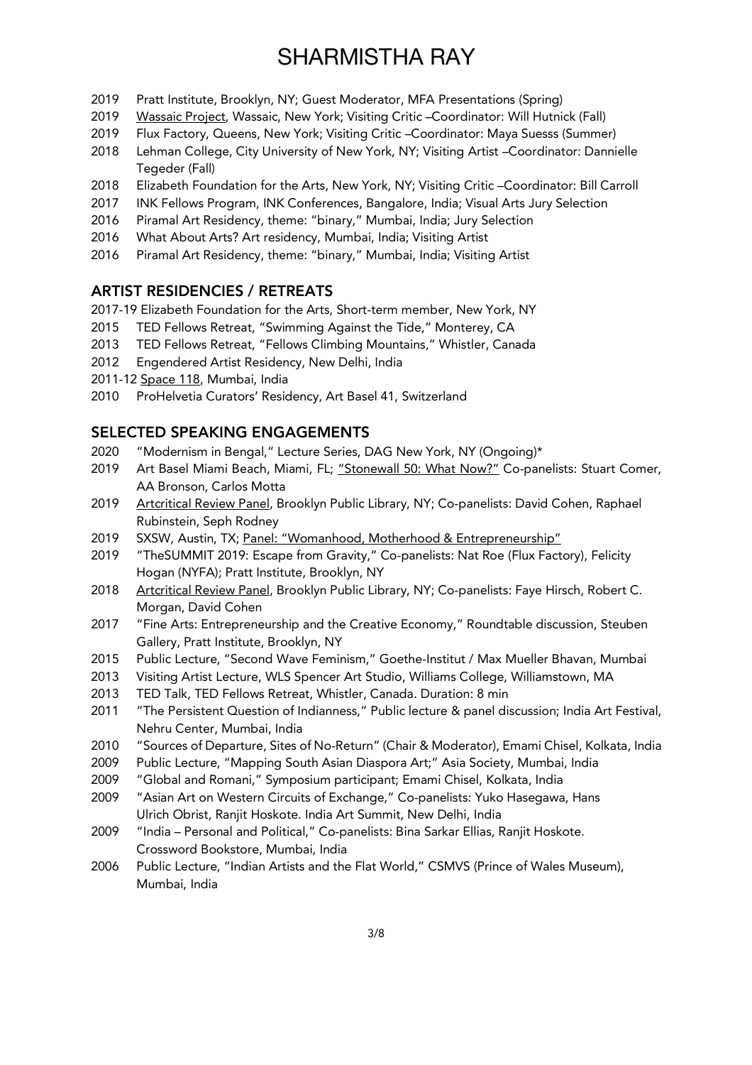- 2019 Pratt Institute, Brooklyn, NY; Guest Moderator, MFA Presentations (Spring)
- 2019 Wassaic Project, Wassaic, New York; Visiting Critic –Coordinator: Will Hutnick (Fall)
- 2019 Flux Factory, Queens, New York; Visiting Critic –Coordinator: Maya Suesss (Summer)
- 2018 Lehman College, City University of New York, NY; Visiting Artist –Coordinator: Dannielle Tegeder (Fall)
- 2018 Elizabeth Foundation for the Arts, New York, NY; Visiting Critic –Coordinator: Bill Carroll
- 2017 INK Fellows Program, INK Conferences, Bangalore, India; Visual Arts Jury Selection
- 2016 Piramal Art Residency, theme: "binary," Mumbai, India; Jury Selection
- 2016 What About Arts? Art residency, Mumbai, India; Visiting Artist
- 2016 Piramal Art Residency, theme: "binary," Mumbai, India; Visiting Artist

#### ARTIST RESIDENCIES / RETREATS

- 2017-19 Elizabeth Foundation for the Arts, Short-term member, New York, NY
- 2015 TED Fellows Retreat, "Swimming Against the Tide," Monterey, CA
- 2013 TED Fellows Retreat, "Fellows Climbing Mountains," Whistler, Canada
- 2012 Engendered Artist Residency, New Delhi, India
- 2011-12 Space 118, Mumbai, India
- 2010 ProHelvetia Curators' Residency, Art Basel 41, Switzerland

### SELECTED SPEAKING ENGAGEMENTS

- 2020 "Modernism in Bengal," Lecture Series, DAG New York, NY (Ongoing)\*
- 2019 Art Basel Miami Beach, Miami, FL; "Stonewall 50: What Now?" Co-panelists: Stuart Comer, AA Bronson, Carlos Motta
- 2019 Artcritical Review Panel, Brooklyn Public Library, NY; Co-panelists: David Cohen, Raphael Rubinstein, Seph Rodney
- 2019 SXSW, Austin, TX; Panel: "Womanhood, Motherhood & Entrepreneurship"
- 2019 "TheSUMMIT 2019: Escape from Gravity," Co-panelists: Nat Roe (Flux Factory), Felicity Hogan (NYFA); Pratt Institute, Brooklyn, NY
- 2018 Artcritical Review Panel, Brooklyn Public Library, NY; Co-panelists: Faye Hirsch, Robert C. Morgan, David Cohen
- 2017 "Fine Arts: Entrepreneurship and the Creative Economy," Roundtable discussion, Steuben Gallery, Pratt Institute, Brooklyn, NY
- 2015 Public Lecture, "Second Wave Feminism," Goethe-Institut / Max Mueller Bhavan, Mumbai
- 2013 Visiting Artist Lecture, WLS Spencer Art Studio, Williams College, Williamstown, MA
- 2013 TED Talk, TED Fellows Retreat, Whistler, Canada. Duration: 8 min
- 2011 "The Persistent Question of Indianness," Public lecture & panel discussion; India Art Festival, Nehru Center, Mumbai, India
- 2010 "Sources of Departure, Sites of No-Return" (Chair & Moderator), Emami Chisel, Kolkata, India
- 2009 Public Lecture, "Mapping South Asian Diaspora Art;" Asia Society, Mumbai, India
- 2009 "Global and Romani," Symposium participant; Emami Chisel, Kolkata, India
- 2009 "Asian Art on Western Circuits of Exchange," Co-panelists: Yuko Hasegawa, Hans Ulrich Obrist, Ranjit Hoskote. India Art Summit, New Delhi, India
- 2009 "India Personal and Political," Co-panelists: Bina Sarkar Ellias, Ranjit Hoskote. Crossword Bookstore, Mumbai, India
- 2006 Public Lecture, "Indian Artists and the Flat World," CSMVS (Prince of Wales Museum), Mumbai, India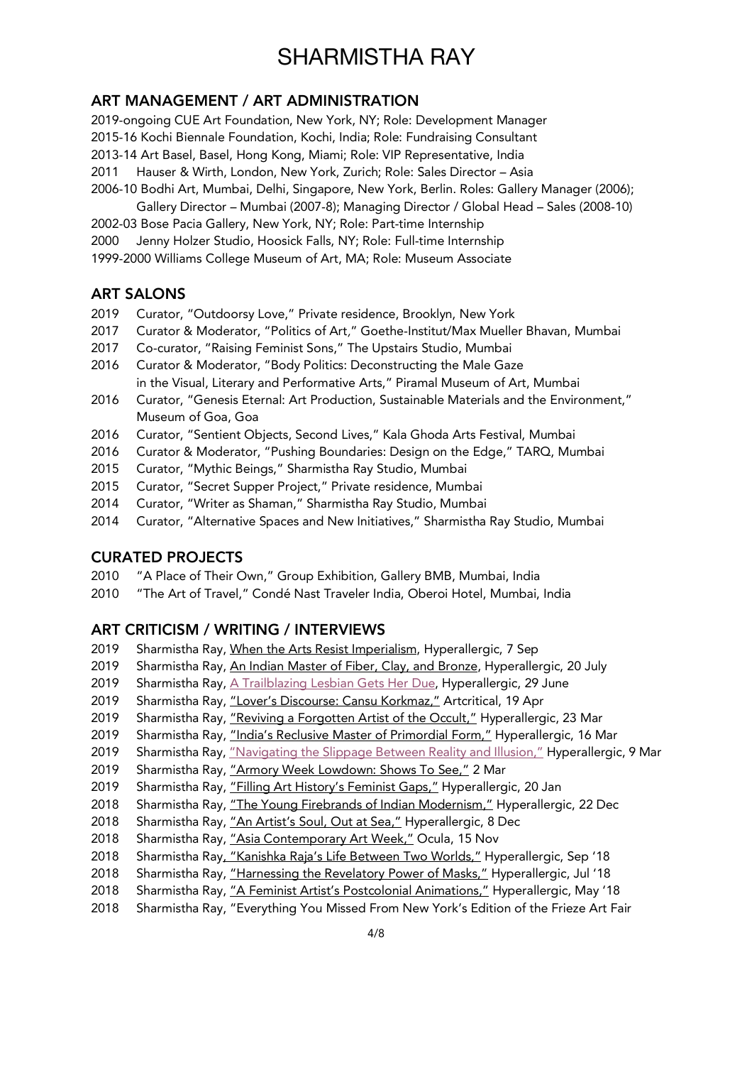### ART MANAGEMENT / ART ADMINISTRATION

2019-ongoing CUE Art Foundation, New York, NY; Role: Development Manager

2015-16 Kochi Biennale Foundation, Kochi, India; Role: Fundraising Consultant

2013-14 Art Basel, Basel, Hong Kong, Miami; Role: VIP Representative, India

2011 Hauser & Wirth, London, New York, Zurich; Role: Sales Director – Asia

- 2006-10 Bodhi Art, Mumbai, Delhi, Singapore, New York, Berlin. Roles: Gallery Manager (2006); Gallery Director – Mumbai (2007-8); Managing Director / Global Head – Sales (2008-10)
- 2002-03 Bose Pacia Gallery, New York, NY; Role: Part-time Internship
- 2000 Jenny Holzer Studio, Hoosick Falls, NY; Role: Full-time Internship
- 1999-2000 Williams College Museum of Art, MA; Role: Museum Associate

### ART SALONS

- 2019 Curator, "Outdoorsy Love," Private residence, Brooklyn, New York
- 2017 Curator & Moderator, "Politics of Art*,*" Goethe-Institut/Max Mueller Bhavan, Mumbai
- 2017 Co-curator, "Raising Feminist Sons," The Upstairs Studio, Mumbai
- 2016 Curator & Moderator, "Body Politics: Deconstructing the Male Gaze in the Visual, Literary and Performative Arts," Piramal Museum of Art, Mumbai
- 2016 Curator, "Genesis Eternal: Art Production, Sustainable Materials and the Environment," Museum of Goa, Goa
- 2016 Curator, "Sentient Objects, Second Lives," Kala Ghoda Arts Festival, Mumbai
- 2016 Curator & Moderator, "Pushing Boundaries: Design on the Edge," TARQ, Mumbai
- 2015 Curator, "Mythic Beings," Sharmistha Ray Studio, Mumbai
- 2015 Curator, "Secret Supper Project," Private residence, Mumbai
- 2014 Curator, "Writer as Shaman," Sharmistha Ray Studio, Mumbai
- 2014 Curator, "Alternative Spaces and New Initiatives," Sharmistha Ray Studio, Mumbai

### CURATED PROJECTS

- 2010 "A Place of Their Own," Group Exhibition, Gallery BMB, Mumbai, India
- 2010 "The Art of Travel," Condé Nast Traveler India, Oberoi Hotel, Mumbai, India

### ART CRITICISM / WRITING / INTERVIEWS

- 2019 Sharmistha Ray, When the Arts Resist Imperialism, Hyperallergic, 7 Sep
- 2019 Sharmistha Ray, An Indian Master of Fiber, Clay, and Bronze, Hyperallergic, 20 July
- 2019 Sharmistha Ray, A Trailblazing Lesbian Gets Her Due, Hyperallergic, 29 June
- 2019 Sharmistha Ray, "Lover's Discourse: Cansu Korkmaz," Artcritical, 19 Apr
- 2019 Sharmistha Ray, "Reviving a Forgotten Artist of the Occult." Hyperallergic, 23 Mar
- 2019 Sharmistha Ray, "India's Reclusive Master of Primordial Form," Hyperallergic, 16 Mar
- 2019 Sharmistha Ray, "Navigating the Slippage Between Reality and Illusion," Hyperallergic, 9 Mar
- 2019 Sharmistha Ray, "Armory Week Lowdown: Shows To See," 2 Mar
- 2019 Sharmistha Ray, "Filling Art History's Feminist Gaps," Hyperallergic, 20 Jan
- 2018 Sharmistha Ray, "The Young Firebrands of Indian Modernism," Hyperallergic, 22 Dec
- 2018 Sharmistha Ray, "An Artist's Soul, Out at Sea," Hyperallergic, 8 Dec
- 2018 Sharmistha Ray, "Asia Contemporary Art Week," Ocula, 15 Nov
- 2018 Sharmistha Ray, "Kanishka Raja's Life Between Two Worlds," Hyperallergic, Sep '18
- 2018 Sharmistha Ray, "Harnessing the Revelatory Power of Masks," Hyperallergic, Jul '18
- 2018 Sharmistha Ray, "A Feminist Artist's Postcolonial Animations," Hyperallergic, May '18
- 2018 Sharmistha Ray, "Everything You Missed From New York's Edition of the Frieze Art Fair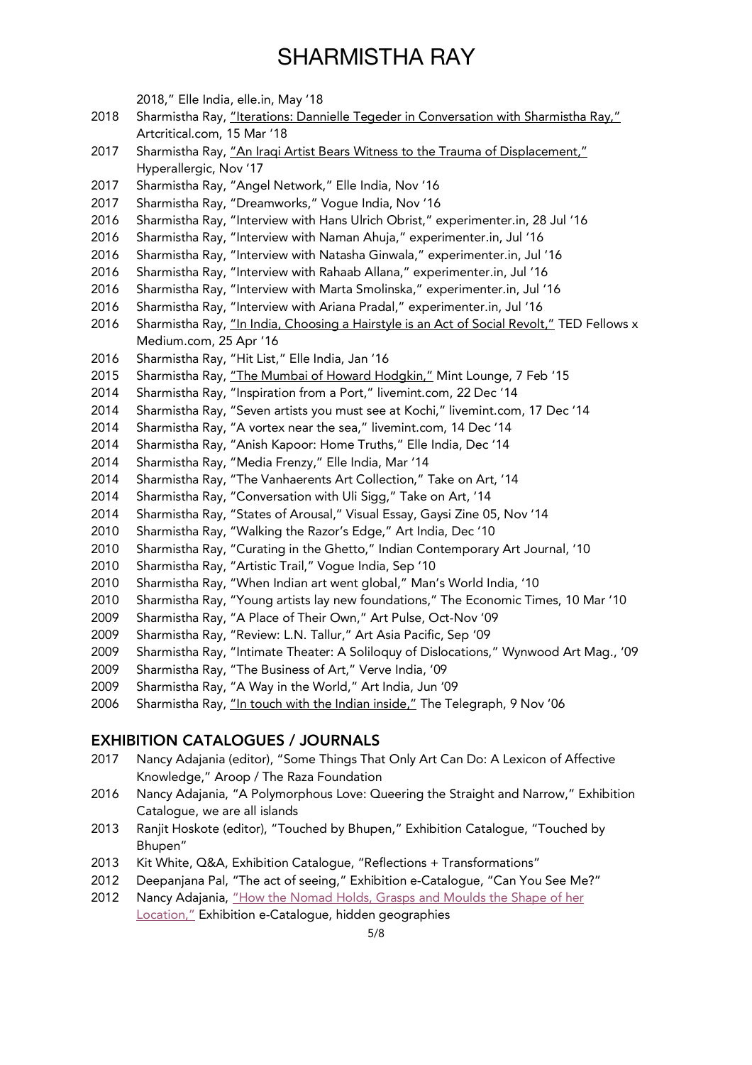2018," Elle India, elle.in, May '18

- 2018 Sharmistha Ray, "Iterations: Dannielle Tegeder in Conversation with Sharmistha Ray," Artcritical.com, 15 Mar '18
- 2017 Sharmistha Ray, "An Iraqi Artist Bears Witness to the Trauma of Displacement," Hyperallergic, Nov '17
- Sharmistha Ray, "Angel Network," Elle India, Nov '16
- Sharmistha Ray, "Dreamworks," Vogue India, Nov '16
- Sharmistha Ray, "Interview with Hans Ulrich Obrist," experimenter.in, 28 Jul '16
- Sharmistha Ray, "Interview with Naman Ahuja," experimenter.in, Jul '16
- Sharmistha Ray, "Interview with Natasha Ginwala," experimenter.in, Jul '16
- Sharmistha Ray, "Interview with Rahaab Allana," experimenter.in, Jul '16
- Sharmistha Ray, "Interview with Marta Smolinska," experimenter.in, Jul '16
- Sharmistha Ray, "Interview with Ariana Pradal," experimenter.in, Jul '16
- 2016 Sharmistha Ray, "In India, Choosing a Hairstyle is an Act of Social Revolt," TED Fellows x Medium.com, 25 Apr '16
- Sharmistha Ray, "Hit List," Elle India, Jan '16
- 2015 Sharmistha Ray, "The Mumbai of Howard Hodgkin," Mint Lounge, 7 Feb '15
- Sharmistha Ray, "Inspiration from a Port," livemint.com, 22 Dec '14
- Sharmistha Ray, "Seven artists you must see at Kochi," livemint.com, 17 Dec '14
- Sharmistha Ray, "A vortex near the sea," livemint.com, 14 Dec '14
- Sharmistha Ray, "Anish Kapoor: Home Truths," Elle India, Dec '14
- Sharmistha Ray, "Media Frenzy," Elle India, Mar '14
- Sharmistha Ray, "The Vanhaerents Art Collection," Take on Art, '14
- Sharmistha Ray, "Conversation with Uli Sigg," Take on Art, '14
- Sharmistha Ray, "States of Arousal," Visual Essay, Gaysi Zine 05, Nov '14
- Sharmistha Ray, "Walking the Razor's Edge," Art India, Dec '10
- Sharmistha Ray, "Curating in the Ghetto," Indian Contemporary Art Journal, '10
- Sharmistha Ray, "Artistic Trail," Vogue India, Sep '10
- Sharmistha Ray, "When Indian art went global," Man's World India, '10
- Sharmistha Ray, "Young artists lay new foundations," The Economic Times, 10 Mar '10
- Sharmistha Ray, "A Place of Their Own," Art Pulse, Oct-Nov '09
- Sharmistha Ray, "Review: L.N. Tallur," Art Asia Pacific, Sep '09
- Sharmistha Ray, "Intimate Theater: A Soliloquy of Dislocations," Wynwood Art Mag., '09
- Sharmistha Ray, "The Business of Art," Verve India, '09
- Sharmistha Ray, "A Way in the World," Art India, Jun '09
- Sharmistha Ray, "In touch with the Indian inside," The Telegraph, 9 Nov '06

### EXHIBITION CATALOGUES / JOURNALS

- Nancy Adajania (editor), "Some Things That Only Art Can Do: A Lexicon of Affective Knowledge," Aroop / The Raza Foundation
- Nancy Adajania, "A Polymorphous Love: Queering the Straight and Narrow," Exhibition Catalogue, we are all islands
- Ranjit Hoskote (editor), "Touched by Bhupen," Exhibition Catalogue, "Touched by Bhupen"
- 2013 Kit White, Q&A, Exhibition Catalogue, "Reflections + Transformations"
- Deepanjana Pal, "The act of seeing," Exhibition e-Catalogue, "Can You See Me?"
- Nancy Adajania, "How the Nomad Holds, Grasps and Moulds the Shape of her Location," Exhibition e-Catalogue, hidden geographies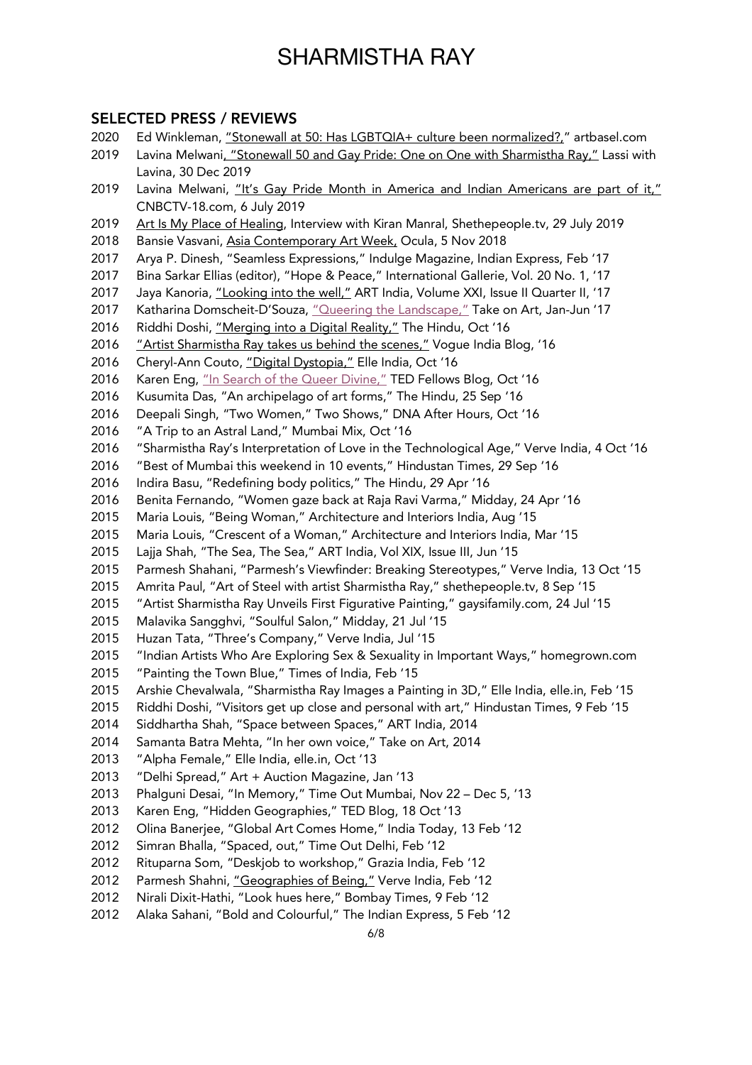# SELECTED PRESS / REVIEWS

- Ed Winkleman, "Stonewall at 50: Has LGBTQIA+ culture been normalized?," artbasel.com
- 2019 Lavina Melwani, "Stonewall 50 and Gay Pride: One on One with Sharmistha Ray," Lassi with Lavina, 30 Dec 2019
- 2019 Lavina Melwani, "It's Gay Pride Month in America and Indian Americans are part of it," CNBCTV-18.com, 6 July 2019
- 2019 Art Is My Place of Healing, Interview with Kiran Manral, Shethepeople.tv, 29 July 2019
- 2018 Bansie Vasvani, Asia Contemporary Art Week, Ocula, 5 Nov 2018
- Arya P. Dinesh, "Seamless Expressions," Indulge Magazine, Indian Express, Feb '17
- Bina Sarkar Ellias (editor), "Hope & Peace," International Gallerie, Vol. 20 No. 1, '17
- 2017 Jaya Kanoria, "Looking into the well," ART India, Volume XXI, Issue II Quarter II, '17
- 2017 Katharina Domscheit-D'Souza, "Queering the Landscape," Take on Art, Jan-Jun '17
- 2016 Riddhi Doshi, "Merging into a Digital Reality," The Hindu, Oct '16
- *"Artist Sharmistha Ray takes us behind the scenes,"* Vogue India Blog, '16
- 2016 Cheryl-Ann Couto, "Digital Dystopia," Elle India, Oct '16
- 2016 Karen Eng, "In Search of the Queer Divine," TED Fellows Blog, Oct '16
- Kusumita Das, "An archipelago of art forms," The Hindu, 25 Sep '16
- Deepali Singh, "Two Women," Two Shows," DNA After Hours, Oct '16
- "A Trip to an Astral Land," Mumbai Mix, Oct '16
- "Sharmistha Ray's Interpretation of Love in the Technological Age," Verve India, 4 Oct '16
- "Best of Mumbai this weekend in 10 events," Hindustan Times, 29 Sep '16
- 2016 Indira Basu, "Redefining body politics," The Hindu, 29 Apr '16
- Benita Fernando, "Women gaze back at Raja Ravi Varma," Midday, 24 Apr '16
- Maria Louis, "Being Woman," Architecture and Interiors India, Aug '15
- Maria Louis, "Crescent of a Woman," Architecture and Interiors India, Mar '15
- Lajja Shah, "The Sea, The Sea," ART India, Vol XIX, Issue III, Jun '15
- Parmesh Shahani, "Parmesh's Viewfinder: Breaking Stereotypes," Verve India, 13 Oct '15
- Amrita Paul, "Art of Steel with artist Sharmistha Ray," shethepeople.tv, 8 Sep '15
- "Artist Sharmistha Ray Unveils First Figurative Painting," gaysifamily.com, 24 Jul '15
- Malavika Sangghvi, "Soulful Salon," Midday, 21 Jul '15
- Huzan Tata, "Three's Company," Verve India, Jul '15
- "Indian Artists Who Are Exploring Sex & Sexuality in Important Ways," homegrown.com
- "Painting the Town Blue," Times of India, Feb '15
- Arshie Chevalwala, "Sharmistha Ray Images a Painting in 3D," Elle India, elle.in, Feb '15
- Riddhi Doshi, "Visitors get up close and personal with art," Hindustan Times, 9 Feb '15
- Siddhartha Shah, "Space between Spaces," ART India, 2014
- Samanta Batra Mehta, "In her own voice," Take on Art, 2014
- "Alpha Female," Elle India, elle.in, Oct '13
- "Delhi Spread," Art + Auction Magazine, Jan '13
- Phalguni Desai, "In Memory," Time Out Mumbai, Nov 22 Dec 5, '13
- Karen Eng, "Hidden Geographies," TED Blog, 18 Oct '13
- Olina Banerjee, "Global Art Comes Home," India Today, 13 Feb '12
- Simran Bhalla, "Spaced, out," Time Out Delhi, Feb '12
- Rituparna Som, "Deskjob to workshop," Grazia India, Feb '12
- 2012 Parmesh Shahni, "Geographies of Being," Verve India, Feb '12
- Nirali Dixit-Hathi, "Look hues here," Bombay Times, 9 Feb '12
- Alaka Sahani, "Bold and Colourful," The Indian Express, 5 Feb '12